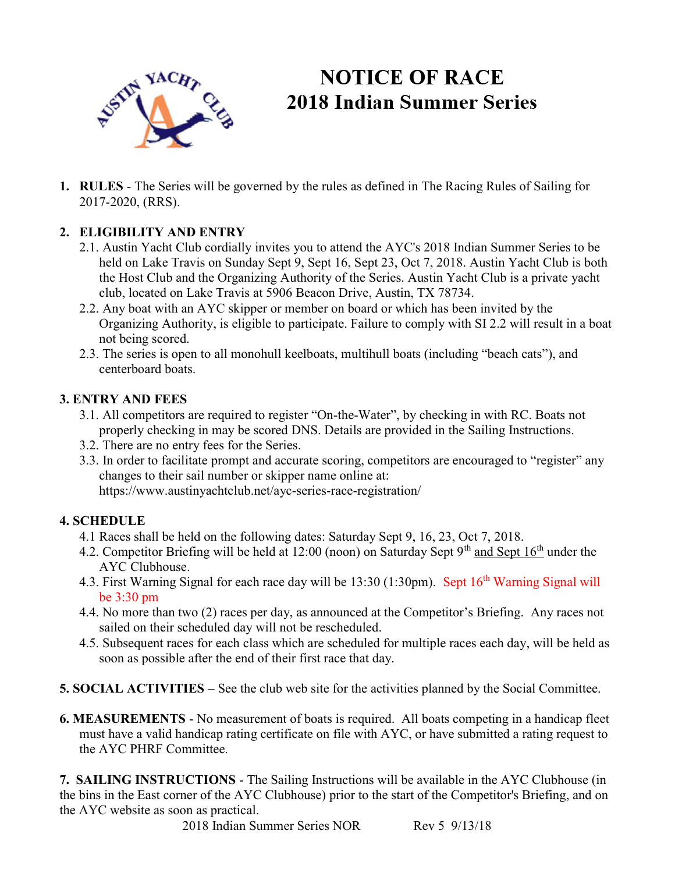

# **NOTICE OF RACE 2018 Indian Summer Series**

1. RULES - The Series will be governed by the rules as defined in The Racing Rules of Sailing for 2017-2020, (RRS).

## 2. ELIGIBILITY AND ENTRY

- 2.1. Austin Yacht Club cordially invites you to attend the AYC's 2018 Indian Summer Series to be held on Lake Travis on Sunday Sept 9, Sept 16, Sept 23, Oct 7, 2018. Austin Yacht Club is both the Host Club and the Organizing Authority of the Series. Austin Yacht Club is a private yacht club, located on Lake Travis at 5906 Beacon Drive, Austin, TX 78734.
- 2.2. Any boat with an AYC skipper or member on board or which has been invited by the Organizing Authority, is eligible to participate. Failure to comply with SI 2.2 will result in a boat not being scored.
- 2.3. The series is open to all monohull keelboats, multihull boats (including "beach cats"), and centerboard boats.

#### 3. ENTRY AND FEES

- 3.1. All competitors are required to register "On-the-Water", by checking in with RC. Boats not properly checking in may be scored DNS. Details are provided in the Sailing Instructions.
- 3.2. There are no entry fees for the Series.
- 3.3. In order to facilitate prompt and accurate scoring, competitors are encouraged to "register" any changes to their sail number or skipper name online at: https://www.austinyachtclub.net/ayc-series-race-registration/

## 4. SCHEDULE

- 4.1 Races shall be held on the following dates: Saturday Sept 9, 16, 23, Oct 7, 2018.
- 4.2. Competitor Briefing will be held at 12:00 (noon) on Saturday Sept  $9<sup>th</sup>$  and Sept 16<sup>th</sup> under the AYC Clubhouse.
- 4.3. First Warning Signal for each race day will be 13:30 (1:30pm). Sept 16<sup>th</sup> Warning Signal will be 3:30 pm
- 4.4. No more than two (2) races per day, as announced at the Competitor's Briefing. Any races not sailed on their scheduled day will not be rescheduled.
- 4.5. Subsequent races for each class which are scheduled for multiple races each day, will be held as soon as possible after the end of their first race that day.
- 5. SOCIAL ACTIVITIES See the club web site for the activities planned by the Social Committee.
- 6. MEASUREMENTS No measurement of boats is required. All boats competing in a handicap fleet must have a valid handicap rating certificate on file with AYC, or have submitted a rating request to the AYC PHRF Committee.

7. SAILING INSTRUCTIONS - The Sailing Instructions will be available in the AYC Clubhouse (in the bins in the East corner of the AYC Clubhouse) prior to the start of the Competitor's Briefing, and on the AYC website as soon as practical.

2018 Indian Summer Series NOR Rev 5 9/13/18